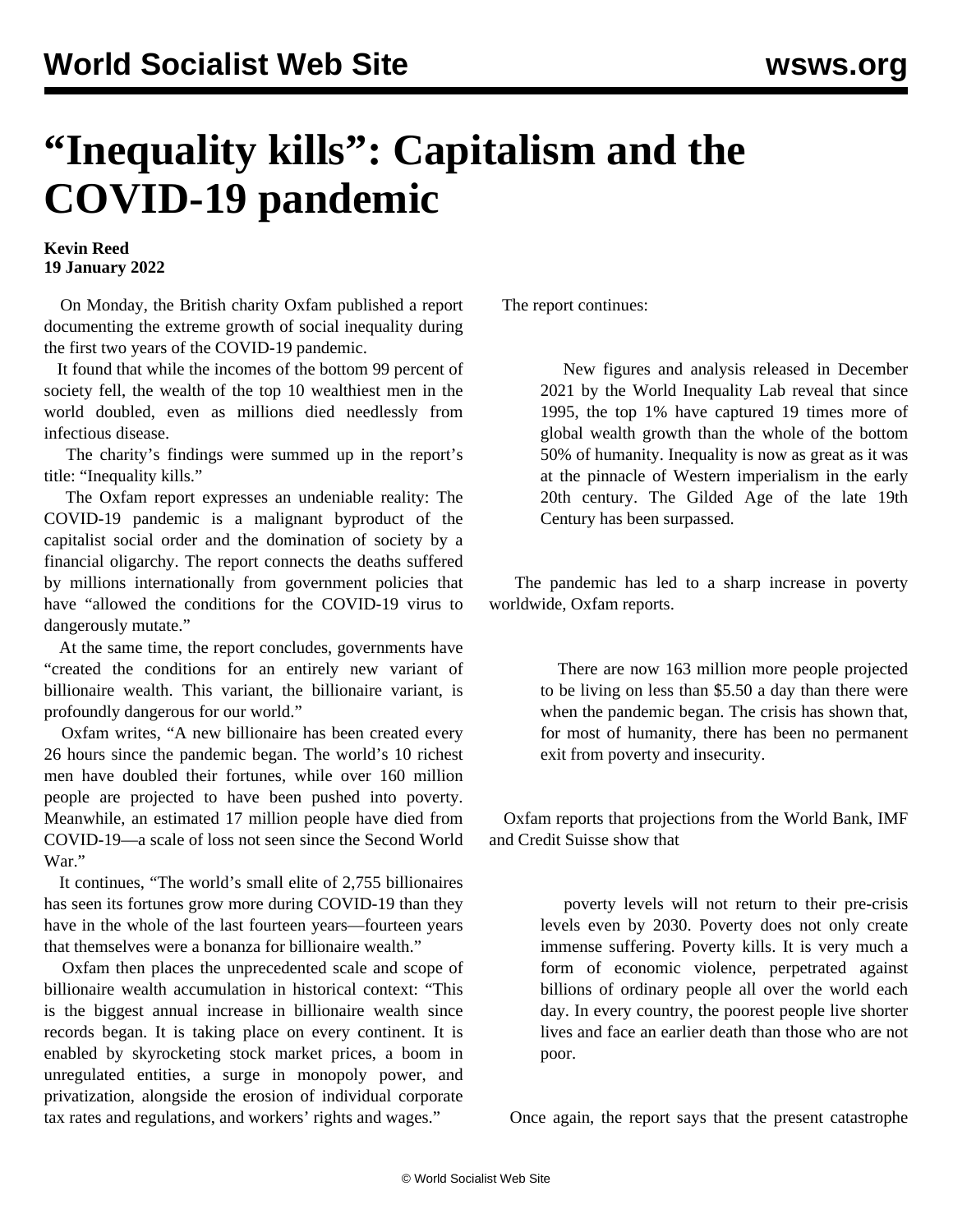## **"Inequality kills": Capitalism and the COVID-19 pandemic**

## **Kevin Reed 19 January 2022**

 On Monday, the British charity Oxfam published a report documenting the extreme growth of social inequality during the first two years of the COVID-19 pandemic.

 It found that while the incomes of the bottom 99 percent of society fell, the wealth of the top 10 wealthiest men in the world doubled, even as millions died needlessly from infectious disease.

 The charity's findings were summed up in the report's title: "Inequality kills."

 The Oxfam report expresses an undeniable reality: The COVID-19 pandemic is a malignant byproduct of the capitalist social order and the domination of society by a financial oligarchy. The report connects the deaths suffered by millions internationally from government policies that have "allowed the conditions for the COVID-19 virus to dangerously mutate."

 At the same time, the report concludes, governments have "created the conditions for an entirely new variant of billionaire wealth. This variant, the billionaire variant, is profoundly dangerous for our world."

 Oxfam writes, "A new billionaire has been created every 26 hours since the pandemic began. The world's 10 richest men have doubled their fortunes, while over 160 million people are projected to have been pushed into poverty. Meanwhile, an estimated 17 million people have died from COVID-19—a scale of loss not seen since the Second World War."

 It continues, "The world's small elite of 2,755 billionaires has seen its fortunes grow more during COVID-19 than they have in the whole of the last fourteen years—fourteen years that themselves were a bonanza for billionaire wealth."

 Oxfam then places the unprecedented scale and scope of billionaire wealth accumulation in historical context: "This is the biggest annual increase in billionaire wealth since records began. It is taking place on every continent. It is enabled by skyrocketing stock market prices, a boom in unregulated entities, a surge in monopoly power, and privatization, alongside the erosion of individual corporate tax rates and regulations, and workers' rights and wages."

The report continues:

 New figures and analysis released in December 2021 by the World Inequality Lab reveal that since 1995, the top 1% have captured 19 times more of global wealth growth than the whole of the bottom 50% of humanity. Inequality is now as great as it was at the pinnacle of Western imperialism in the early 20th century. The Gilded Age of the late 19th Century has been surpassed.

 The pandemic has led to a sharp increase in poverty worldwide, Oxfam reports.

> There are now 163 million more people projected to be living on less than \$5.50 a day than there were when the pandemic began. The crisis has shown that, for most of humanity, there has been no permanent exit from poverty and insecurity.

 Oxfam reports that projections from the World Bank, IMF and Credit Suisse show that

> poverty levels will not return to their pre-crisis levels even by 2030. Poverty does not only create immense suffering. Poverty kills. It is very much a form of economic violence, perpetrated against billions of ordinary people all over the world each day. In every country, the poorest people live shorter lives and face an earlier death than those who are not poor.

Once again, the report says that the present catastrophe